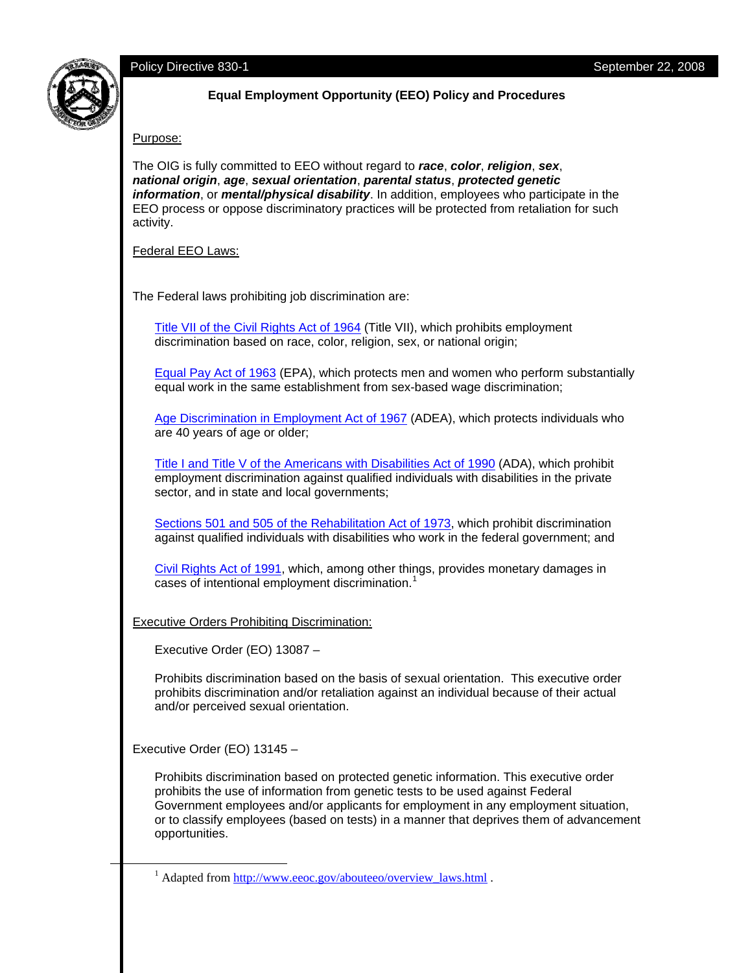**Equal Employment Opportunity (EEO) Policy and Procedures** 

# Purpose:

The OIG is fully committed to EEO without regard to *race*, *color*, *religion*, *sex*, *national origin*, *age*, *sexual orientation*, *parental status*, *protected genetic information*, or *mental/physical disability*. In addition, employees who participate in the EEO process or oppose discriminatory practices will be protected from retaliation for such activity.

# Federal EEO Laws:

The Federal laws prohibiting job discrimination are:

[Title VII of the Civil Rights Act of 1964](http://www.eeoc.gov/policy/vii.html) (Title VII), which prohibits employment discrimination based on race, color, religion, sex, or national origin;

[Equal Pay Act of 1963](http://www.eeoc.gov/policy/epa.html) (EPA), which protects men and women who perform substantially equal work in the same establishment from sex-based wage discrimination;

[Age Discrimination in Employment Act of 1967](http://www.eeoc.gov/policy/adea.html) (ADEA), which protects individuals who are 40 years of age or older;

[Title I and Title V of the Americans with Disabilities Act of 1990](http://www.eeoc.gov/policy/ada.html) (ADA), which prohibit employment discrimination against qualified individuals with disabilities in the private sector, and in state and local governments;

[Sections 501 and 505 of the Rehabilitation Act of 1973](http://www.eeoc.gov/policy/rehab.html), which prohibit discrimination against qualified individuals with disabilities who work in the federal government; and

[Civil Rights Act of 1991](http://www.eeoc.gov/policy/cra91.html), which, among other things, provides monetary damages in cases of intentional employment discrimination.<sup>[1](#page-0-0)</sup>

Executive Orders Prohibiting Discrimination:

Executive Order (EO) 13087 –

Prohibits discrimination based on the basis of sexual orientation. This executive order prohibits discrimination and/or retaliation against an individual because of their actual and/or perceived sexual orientation.

Executive Order (EO) 13145 –

Prohibits discrimination based on protected genetic information. This executive order prohibits the use of information from genetic tests to be used against Federal Government employees and/or applicants for employment in any employment situation, or to classify employees (based on tests) in a manner that deprives them of advancement opportunities.

<span id="page-0-0"></span> $\overline{\phantom{a}}$  $^1$  Adapted from http://www.eeoc.gov/abouteeo/overview\_laws.html.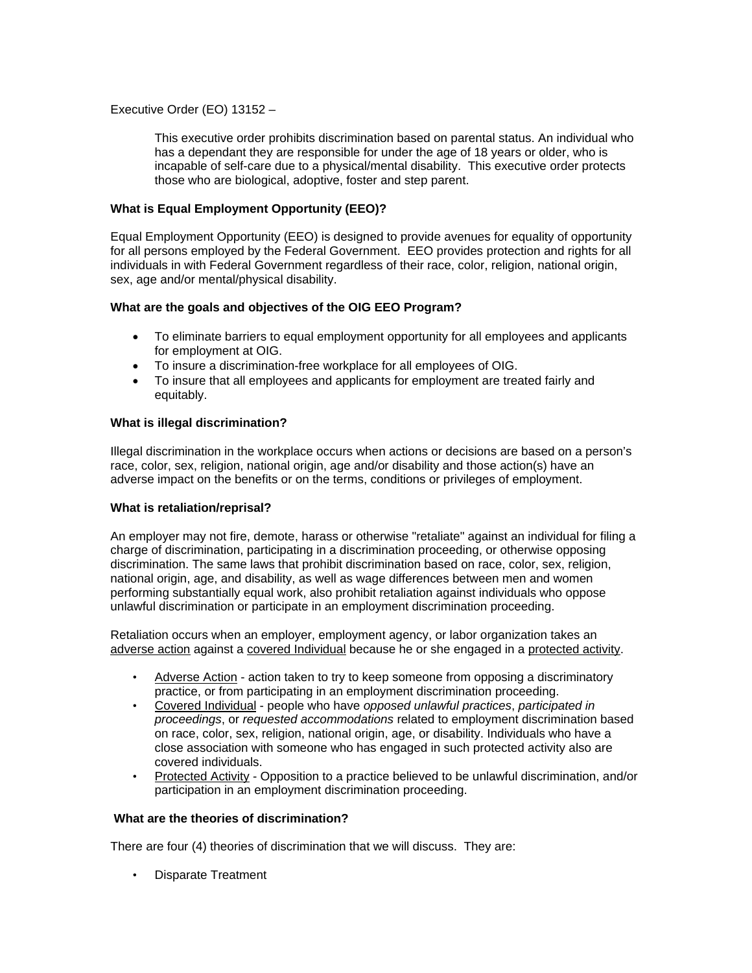Executive Order (EO) 13152 –

This executive order prohibits discrimination based on parental status. An individual who has a dependant they are responsible for under the age of 18 years or older, who is incapable of self-care due to a physical/mental disability. This executive order protects those who are biological, adoptive, foster and step parent.

### **What is Equal Employment Opportunity (EEO)?**

Equal Employment Opportunity (EEO) is designed to provide avenues for equality of opportunity for all persons employed by the Federal Government. EEO provides protection and rights for all individuals in with Federal Government regardless of their race, color, religion, national origin, sex, age and/or mental/physical disability.

### **What are the goals and objectives of the OIG EEO Program?**

- To eliminate barriers to equal employment opportunity for all employees and applicants for employment at OIG.
- To insure a discrimination-free workplace for all employees of OIG.
- To insure that all employees and applicants for employment are treated fairly and equitably.

## **What is illegal discrimination?**

Illegal discrimination in the workplace occurs when actions or decisions are based on a person's race, color, sex, religion, national origin, age and/or disability and those action(s) have an adverse impact on the benefits or on the terms, conditions or privileges of employment.

#### **What is retaliation/reprisal?**

An employer may not fire, demote, harass or otherwise "retaliate" against an individual for filing a charge of discrimination, participating in a discrimination proceeding, or otherwise opposing discrimination. The same laws that prohibit discrimination based on race, color, sex, religion, national origin, age, and disability, as well as wage differences between men and women performing substantially equal work, also prohibit retaliation against individuals who oppose unlawful discrimination or participate in an employment discrimination proceeding.

Retaliation occurs when an employer, employment agency, or labor organization takes an adverse action against a covered Individual because he or she engaged in a protected activity.

- Adverse Action action taken to try to keep someone from opposing a discriminatory practice, or from participating in an employment discrimination proceeding.
- Covered Individual people who have *opposed unlawful practices*, *participated in proceedings*, or *requested accommodations* related to employment discrimination based on race, color, sex, religion, national origin, age, or disability. Individuals who have a close association with someone who has engaged in such protected activity also are covered individuals.
- Protected Activity Opposition to a practice believed to be unlawful discrimination, and/or participation in an employment discrimination proceeding.

### **What are the theories of discrimination?**

There are four (4) theories of discrimination that we will discuss. They are:

• Disparate Treatment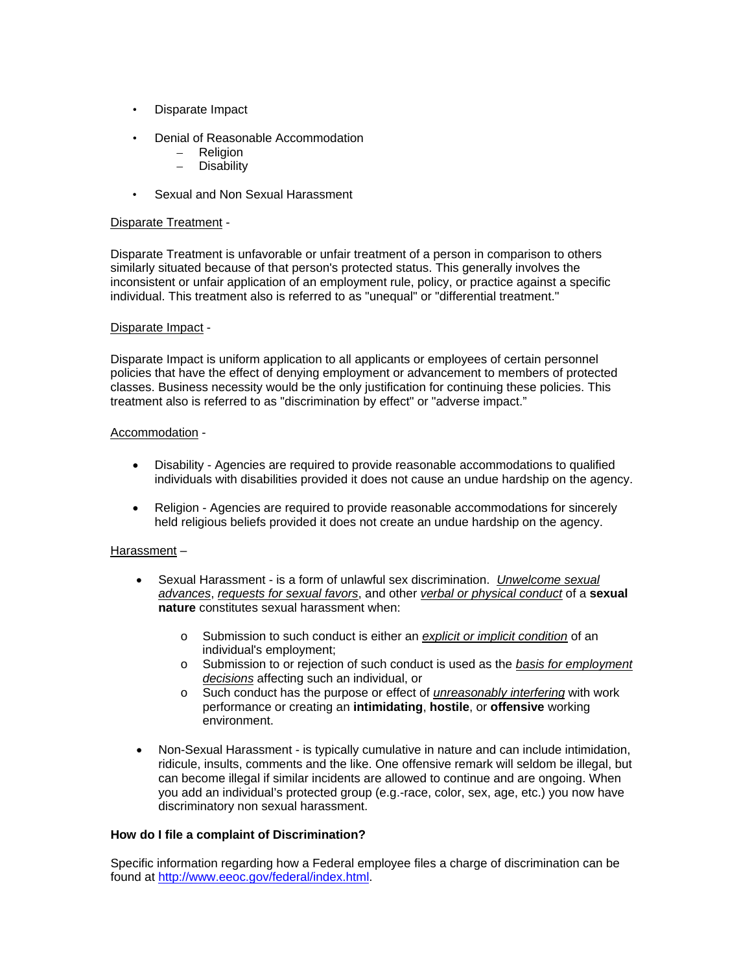- Disparate Impact
- Denial of Reasonable Accommodation
	- Religion
	- **Disability**
- Sexual and Non Sexual Harassment

#### Disparate Treatment -

Disparate Treatment is unfavorable or unfair treatment of a person in comparison to others similarly situated because of that person's protected status. This generally involves the inconsistent or unfair application of an employment rule, policy, or practice against a specific individual. This treatment also is referred to as "unequal" or "differential treatment."

#### Disparate Impact -

Disparate Impact is uniform application to all applicants or employees of certain personnel policies that have the effect of denying employment or advancement to members of protected classes. Business necessity would be the only justification for continuing these policies. This treatment also is referred to as "discrimination by effect" or "adverse impact."

#### Accommodation -

- Disability Agencies are required to provide reasonable accommodations to qualified individuals with disabilities provided it does not cause an undue hardship on the agency.
- Religion Agencies are required to provide reasonable accommodations for sincerely held religious beliefs provided it does not create an undue hardship on the agency.

#### Harassment –

- Sexual Harassment is a form of unlawful sex discrimination. *Unwelcome sexual advances*, *requests for sexual favors*, and other *verbal or physical conduct* of a **sexual nature** constitutes sexual harassment when:
	- o Submission to such conduct is either an *explicit or implicit condition* of an individual's employment;
	- o Submission to or rejection of such conduct is used as the *basis for employment decisions* affecting such an individual, or
	- o Such conduct has the purpose or effect of *unreasonably interfering* with work performance or creating an **intimidating**, **hostile**, or **offensive** working environment.
- Non-Sexual Harassment is typically cumulative in nature and can include intimidation, ridicule, insults, comments and the like. One offensive remark will seldom be illegal, but can become illegal if similar incidents are allowed to continue and are ongoing. When you add an individual's protected group (e.g.-race, color, sex, age, etc.) you now have discriminatory non sexual harassment.

#### **How do I file a complaint of Discrimination?**

Specific information regarding how a Federal employee files a charge of discrimination can be found at [http://www.eeoc.gov/federal/index.html.](http://www.eeoc.gov/federal/index.html)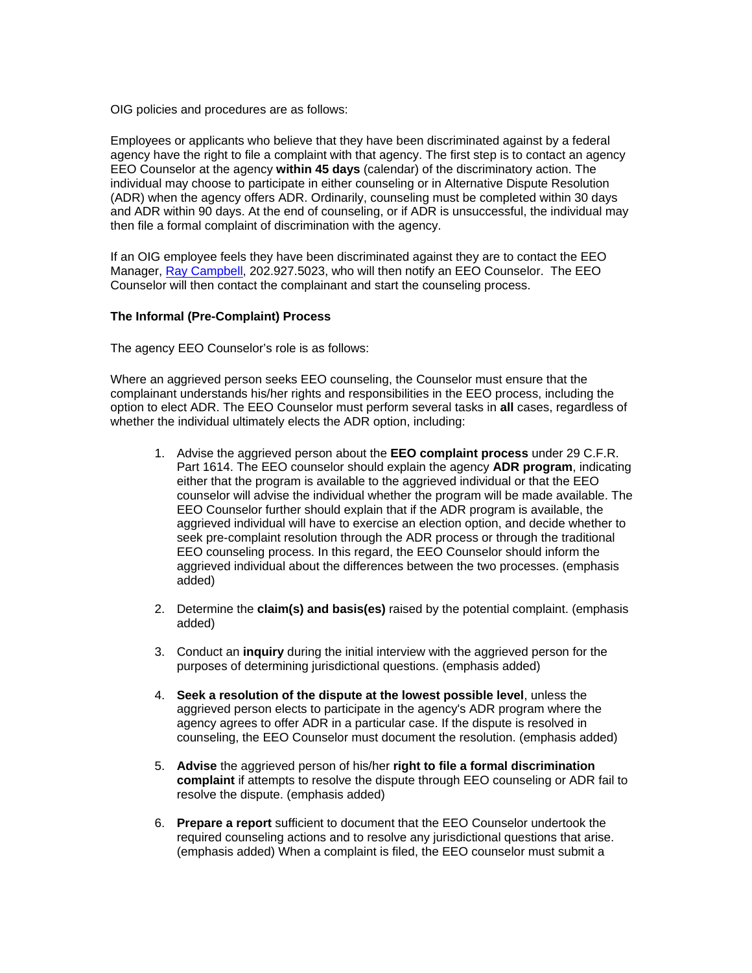OIG policies and procedures are as follows:

Employees or applicants who believe that they have been discriminated against by a federal agency have the right to file a complaint with that agency. The first step is to contact an agency EEO Counselor at the agency **within 45 days** (calendar) of the discriminatory action. The individual may choose to participate in either counseling or in Alternative Dispute Resolution (ADR) when the agency offers ADR. Ordinarily, counseling must be completed within 30 days and ADR within 90 days. At the end of counseling, or if ADR is unsuccessful, the individual may then file a formal complaint of discrimination with the agency.

If an OIG employee feels they have been discriminated against they are to contact the EEO Manager, [Ray Campbell,](mailto:campbellr@oig.treas.gov) 202.927.5023, who will then notify an EEO Counselor. The EEO Counselor will then contact the complainant and start the counseling process.

#### **The Informal (Pre-Complaint) Process**

The agency EEO Counselor's role is as follows:

Where an aggrieved person seeks EEO counseling, the Counselor must ensure that the complainant understands his/her rights and responsibilities in the EEO process, including the option to elect ADR. The EEO Counselor must perform several tasks in **all** cases, regardless of whether the individual ultimately elects the ADR option, including:

- 1. Advise the aggrieved person about the **EEO complaint process** under 29 C.F.R. Part 1614. The EEO counselor should explain the agency **ADR program**, indicating either that the program is available to the aggrieved individual or that the EEO counselor will advise the individual whether the program will be made available. The EEO Counselor further should explain that if the ADR program is available, the aggrieved individual will have to exercise an election option, and decide whether to seek pre-complaint resolution through the ADR process or through the traditional EEO counseling process. In this regard, the EEO Counselor should inform the aggrieved individual about the differences between the two processes. (emphasis added)
- 2. Determine the **claim(s) and basis(es)** raised by the potential complaint. (emphasis added)
- 3. Conduct an **inquiry** during the initial interview with the aggrieved person for the purposes of determining jurisdictional questions. (emphasis added)
- 4. **Seek a resolution of the dispute at the lowest possible level**, unless the aggrieved person elects to participate in the agency's ADR program where the agency agrees to offer ADR in a particular case. If the dispute is resolved in counseling, the EEO Counselor must document the resolution. (emphasis added)
- 5. **Advise** the aggrieved person of his/her **right to file a formal discrimination complaint** if attempts to resolve the dispute through EEO counseling or ADR fail to resolve the dispute. (emphasis added)
- 6. **Prepare a report** sufficient to document that the EEO Counselor undertook the required counseling actions and to resolve any jurisdictional questions that arise. (emphasis added) When a complaint is filed, the EEO counselor must submit a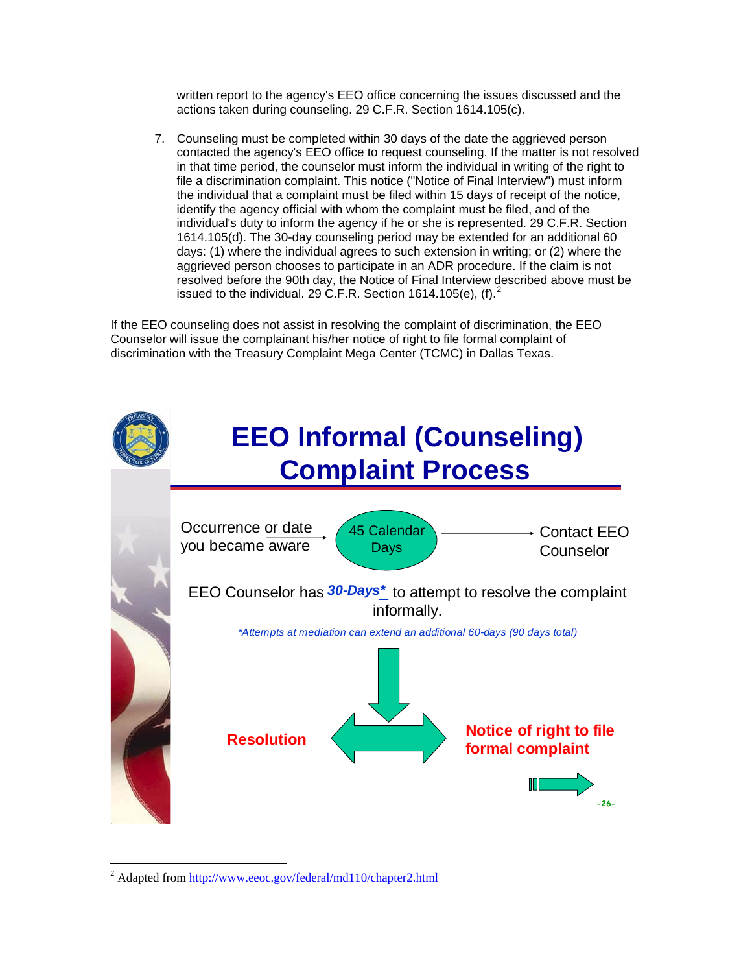written report to the agency's EEO office concerning the issues discussed and the actions taken during counseling. 29 C.F.R. Section 1614.105(c).

7. Counseling must be completed within 30 days of the date the aggrieved person contacted the agency's EEO office to request counseling. If the matter is not resolved in that time period, the counselor must inform the individual in writing of the right to file a discrimination complaint. This notice ("Notice of Final Interview") must inform the individual that a complaint must be filed within 15 days of receipt of the notice, identify the agency official with whom the complaint must be filed, and of the individual's duty to inform the agency if he or she is represented. 29 C.F.R. Section 1614.105(d). The 30-day counseling period may be extended for an additional 60 days: (1) where the individual agrees to such extension in writing; or (2) where the aggrieved person chooses to participate in an ADR procedure. If the claim is not resolved before the 90th day, the Notice of Final Interview described above must be issued to the individual. [2](#page-4-0)9 C.F.R. Section  $1614.105(e)$ , (f).<sup>2</sup>

If the EEO counseling does not assist in resolving the complaint of discrimination, the EEO Counselor will issue the complainant his/her notice of right to file formal complaint of discrimination with the Treasury Complaint Mega Center (TCMC) in Dallas Texas.



<span id="page-4-0"></span><sup>&</sup>lt;sup>2</sup> Adapted from<http://www.eeoc.gov/federal/md110/chapter2.html>

 $\overline{a}$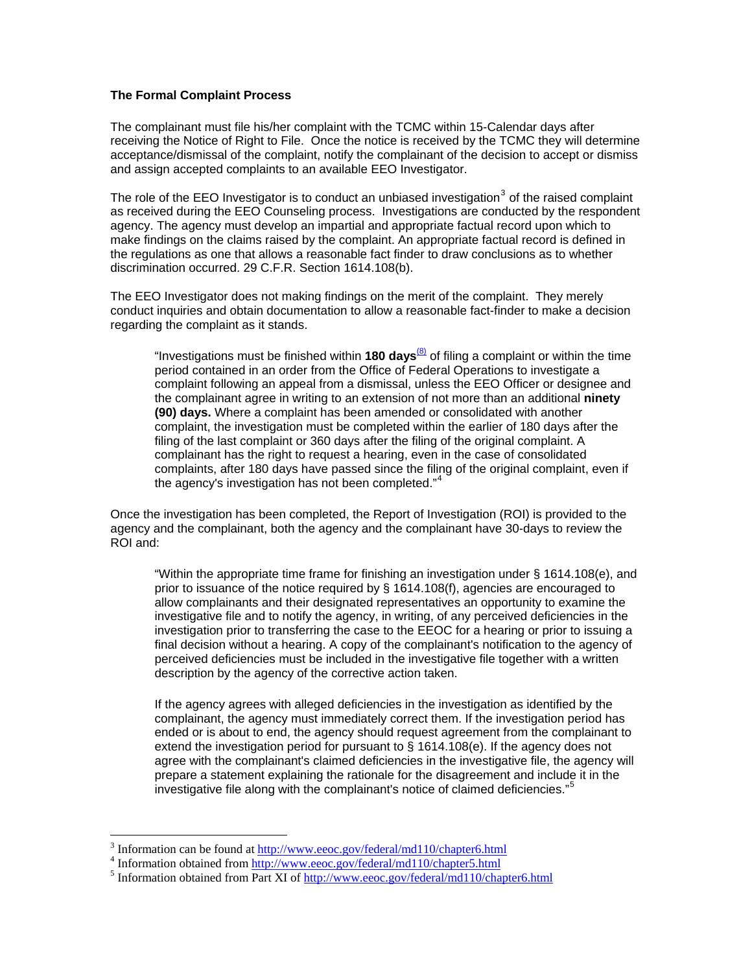## **The Formal Complaint Process**

The complainant must file his/her complaint with the TCMC within 15-Calendar days after receiving the Notice of Right to File. Once the notice is received by the TCMC they will determine acceptance/dismissal of the complaint, notify the complainant of the decision to accept or dismiss and assign accepted complaints to an available EEO Investigator.

The role of the EEO Investigator is to conduct an unbiased investigation<sup>[3](#page-5-0)</sup> of the raised complaint as received during the EEO Counseling process. Investigations are conducted by the respondent agency. The agency must develop an impartial and appropriate factual record upon which to make findings on the claims raised by the complaint. An appropriate factual record is defined in the regulations as one that allows a reasonable fact finder to draw conclusions as to whether discrimination occurred. 29 C.F.R. Section 1614.108(b).

The EEO Investigator does not making findings on the merit of the complaint. They merely conduct inquiries and obtain documentation to allow a reasonable fact-finder to make a decision regarding the complaint as it stands.

"Investigations must be finished within **180 days**<sup>[\(8\)](http://www.eeoc.gov/federal/md110/chapter5.html#N_8_#N_8_)</sup> of filing a complaint or within the time period contained in an order from the Office of Federal Operations to investigate a complaint following an appeal from a dismissal, unless the EEO Officer or designee and the complainant agree in writing to an extension of not more than an additional **ninety (90) days.** Where a complaint has been amended or consolidated with another complaint, the investigation must be completed within the earlier of 180 days after the filing of the last complaint or 360 days after the filing of the original complaint. A complainant has the right to request a hearing, even in the case of consolidated complaints, after 180 days have passed since the filing of the original complaint, even if the agency's investigation has not been completed."[4](#page-5-1)

Once the investigation has been completed, the Report of Investigation (ROI) is provided to the agency and the complainant, both the agency and the complainant have 30-days to review the ROI and:

"Within the appropriate time frame for finishing an investigation under § 1614.108(e), and prior to issuance of the notice required by § 1614.108(f), agencies are encouraged to allow complainants and their designated representatives an opportunity to examine the investigative file and to notify the agency, in writing, of any perceived deficiencies in the investigation prior to transferring the case to the EEOC for a hearing or prior to issuing a final decision without a hearing. A copy of the complainant's notification to the agency of perceived deficiencies must be included in the investigative file together with a written description by the agency of the corrective action taken.

If the agency agrees with alleged deficiencies in the investigation as identified by the complainant, the agency must immediately correct them. If the investigation period has ended or is about to end, the agency should request agreement from the complainant to extend the investigation period for pursuant to § 1614.108(e). If the agency does not agree with the complainant's claimed deficiencies in the investigative file, the agency will prepare a statement explaining the rationale for the disagreement and include it in the investigative file along with the complainant's notice of claimed deficiencies."

 $\overline{a}$ 

<span id="page-5-0"></span> $3$  Information can be found at http://www.eeoc.gov/federal/md110/chapter6.html If Information can be found at  $\underline{\text{http://www.eeoc.gov/federal/ml110/chapter6.html}}$ <br><sup>4</sup> Information obtained from http://www.eeoc.gov/federal/md110/chapter5.html

<span id="page-5-1"></span><sup>&</sup>lt;sup>4</sup> Information obtained from  $\frac{http://www.eeoc.gov/federa/md110/chapters.html}{http://www.eeoc.gov/federa/md110/chapter5.html}$ 

<span id="page-5-2"></span> $<sup>5</sup>$  Information obtained from Part XI of<http://www.eeoc.gov/federal/md110/chapter6.html></sup>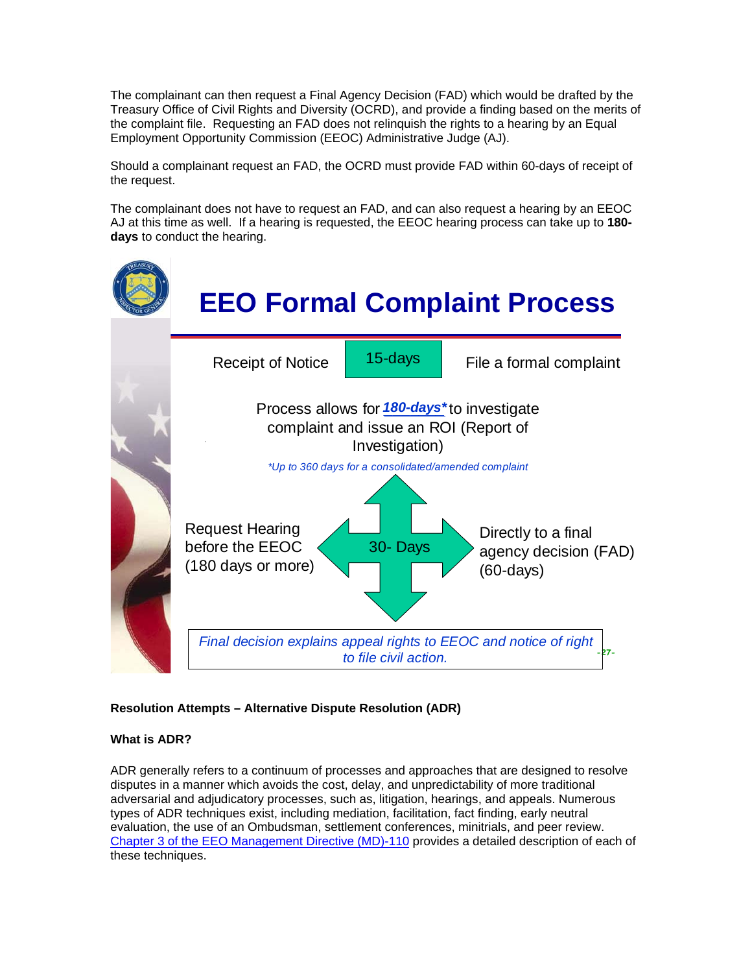The complainant can then request a Final Agency Decision (FAD) which would be drafted by the Treasury Office of Civil Rights and Diversity (OCRD), and provide a finding based on the merits of the complaint file. Requesting an FAD does not relinquish the rights to a hearing by an Equal Employment Opportunity Commission (EEOC) Administrative Judge (AJ).

Should a complainant request an FAD, the OCRD must provide FAD within 60-days of receipt of the request.

The complainant does not have to request an FAD, and can also request a hearing by an EEOC AJ at this time as well. If a hearing is requested, the EEOC hearing process can take up to **180 days** to conduct the hearing.



## **Resolution Attempts – Alternative Dispute Resolution (ADR)**

## **What is ADR?**

ADR generally refers to a continuum of processes and approaches that are designed to resolve disputes in a manner which avoids the cost, delay, and unpredictability of more traditional adversarial and adjudicatory processes, such as, litigation, hearings, and appeals. Numerous types of ADR techniques exist, including mediation, facilitation, fact finding, early neutral evaluation, the use of an Ombudsman, settlement conferences, minitrials, and peer review. [Chapter 3 of the EEO Management Directive \(MD\)-110](http://www.eeoc.gov/federal/md110/chapter3.html) provides a detailed description of each of these techniques.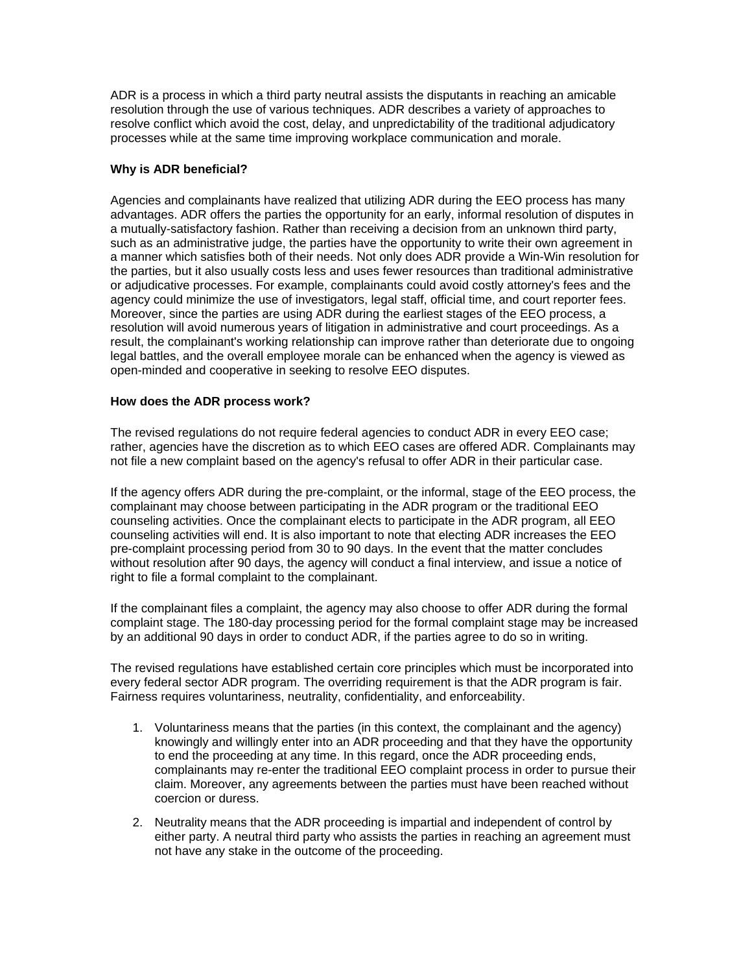ADR is a process in which a third party neutral assists the disputants in reaching an amicable resolution through the use of various techniques. ADR describes a variety of approaches to resolve conflict which avoid the cost, delay, and unpredictability of the traditional adjudicatory processes while at the same time improving workplace communication and morale.

### **Why is ADR beneficial?**

Agencies and complainants have realized that utilizing ADR during the EEO process has many advantages. ADR offers the parties the opportunity for an early, informal resolution of disputes in a mutually-satisfactory fashion. Rather than receiving a decision from an unknown third party, such as an administrative judge, the parties have the opportunity to write their own agreement in a manner which satisfies both of their needs. Not only does ADR provide a Win-Win resolution for the parties, but it also usually costs less and uses fewer resources than traditional administrative or adjudicative processes. For example, complainants could avoid costly attorney's fees and the agency could minimize the use of investigators, legal staff, official time, and court reporter fees. Moreover, since the parties are using ADR during the earliest stages of the EEO process, a resolution will avoid numerous years of litigation in administrative and court proceedings. As a result, the complainant's working relationship can improve rather than deteriorate due to ongoing legal battles, and the overall employee morale can be enhanced when the agency is viewed as open-minded and cooperative in seeking to resolve EEO disputes.

#### **How does the ADR process work?**

The revised regulations do not require federal agencies to conduct ADR in every EEO case; rather, agencies have the discretion as to which EEO cases are offered ADR. Complainants may not file a new complaint based on the agency's refusal to offer ADR in their particular case.

If the agency offers ADR during the pre-complaint, or the informal, stage of the EEO process, the complainant may choose between participating in the ADR program or the traditional EEO counseling activities. Once the complainant elects to participate in the ADR program, all EEO counseling activities will end. It is also important to note that electing ADR increases the EEO pre-complaint processing period from 30 to 90 days. In the event that the matter concludes without resolution after 90 days, the agency will conduct a final interview, and issue a notice of right to file a formal complaint to the complainant.

If the complainant files a complaint, the agency may also choose to offer ADR during the formal complaint stage. The 180-day processing period for the formal complaint stage may be increased by an additional 90 days in order to conduct ADR, if the parties agree to do so in writing.

The revised regulations have established certain core principles which must be incorporated into every federal sector ADR program. The overriding requirement is that the ADR program is fair. Fairness requires voluntariness, neutrality, confidentiality, and enforceability.

- 1. Voluntariness means that the parties (in this context, the complainant and the agency) knowingly and willingly enter into an ADR proceeding and that they have the opportunity to end the proceeding at any time. In this regard, once the ADR proceeding ends, complainants may re-enter the traditional EEO complaint process in order to pursue their claim. Moreover, any agreements between the parties must have been reached without coercion or duress.
- 2. Neutrality means that the ADR proceeding is impartial and independent of control by either party. A neutral third party who assists the parties in reaching an agreement must not have any stake in the outcome of the proceeding.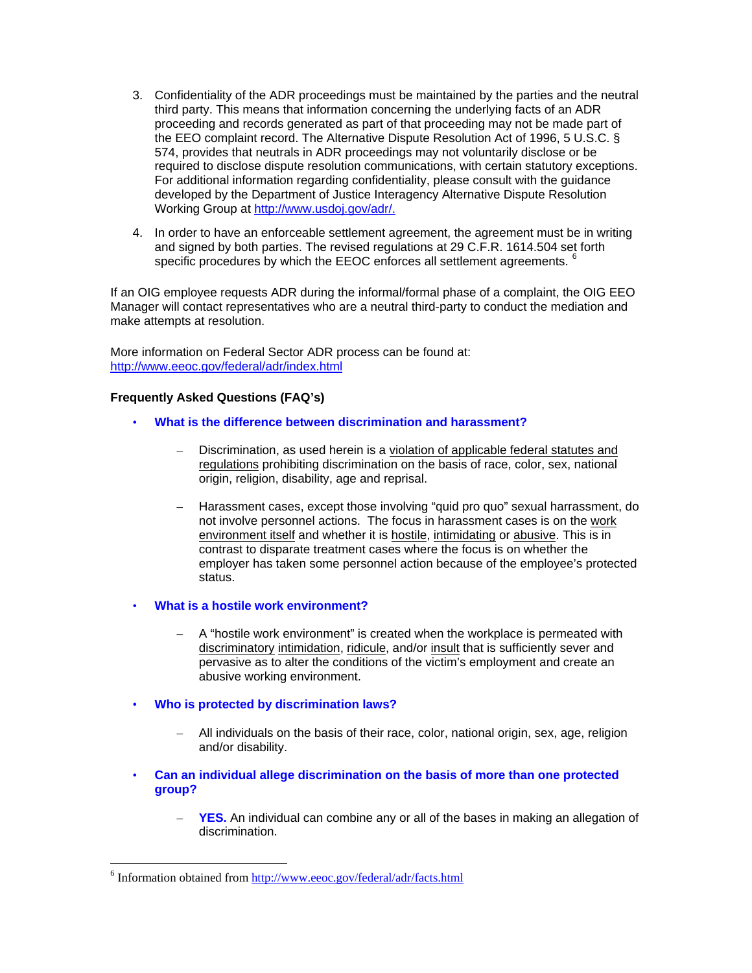- 3. Confidentiality of the ADR proceedings must be maintained by the parties and the neutral third party. This means that information concerning the underlying facts of an ADR proceeding and records generated as part of that proceeding may not be made part of the EEO complaint record. The Alternative Dispute Resolution Act of 1996, 5 U.S.C. § 574, provides that neutrals in ADR proceedings may not voluntarily disclose or be required to disclose dispute resolution communications, with certain statutory exceptions. For additional information regarding confidentiality, please consult with the guidance developed by the Department of Justice Interagency Alternative Dispute Resolution Working Group at [http://www.usdoj.gov/adr/.](http://www.usdoj.gov/adr/)
- 4. In order to have an enforceable settlement agreement, the agreement must be in writing and signed by both parties. The revised regulations at 29 C.F.R. 1614.504 set forth specific procedures by which the EEOC enforces all settlement agreements. <sup>[6](#page-8-0)</sup>

If an OIG employee requests ADR during the informal/formal phase of a complaint, the OIG EEO Manager will contact representatives who are a neutral third-party to conduct the mediation and make attempts at resolution.

More information on Federal Sector ADR process can be found at: <http://www.eeoc.gov/federal/adr/index.html>

### **Frequently Asked Questions (FAQ's)**

- **What is the difference between discrimination and harassment?** 
	- Discrimination, as used herein is a violation of applicable federal statutes and regulations prohibiting discrimination on the basis of race, color, sex, national origin, religion, disability, age and reprisal.
	- Harassment cases, except those involving "quid pro quo" sexual harrassment, do not involve personnel actions. The focus in harassment cases is on the work environment itself and whether it is hostile, intimidating or abusive. This is in contrast to disparate treatment cases where the focus is on whether the employer has taken some personnel action because of the employee's protected status.
- **What is a hostile work environment?** 
	- A "hostile work environment" is created when the workplace is permeated with discriminatory intimidation, ridicule, and/or insult that is sufficiently sever and pervasive as to alter the conditions of the victim's employment and create an abusive working environment.
- **Who is protected by discrimination laws?** 
	- All individuals on the basis of their race, color, national origin, sex, age, religion and/or disability.
- **Can an individual allege discrimination on the basis of more than one protected group?** 
	- **YES.** An individual can combine any or all of the bases in making an allegation of discrimination.

 $\overline{a}$ 

<span id="page-8-0"></span><sup>&</sup>lt;sup>6</sup> Information obtained from <http://www.eeoc.gov/federal/adr/facts.html>